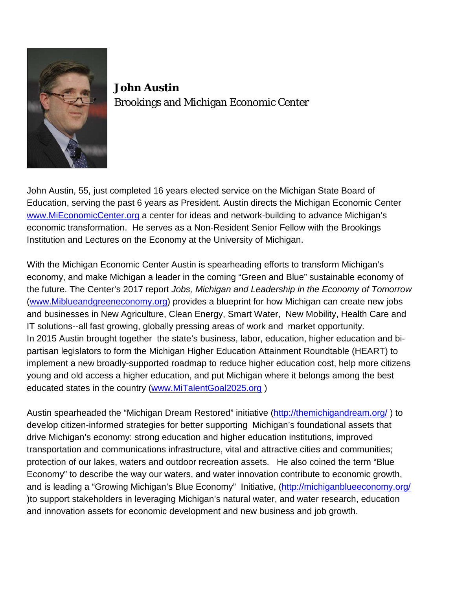

**John Austin** Brookings and Michigan Economic Center

John Austin, 55, just completed 16 years elected service on the Michigan State Board of Education, serving the past 6 years as President. Austin directs the Michigan Economic Center [www.MiEconomicCenter.org](http://www.mieconomiccenter.org/) a center for ideas and network-building to advance Michigan's economic transformation. He serves as a Non-Resident Senior Fellow with the Brookings Institution and Lectures on the Economy at the University of Michigan.

With the Michigan Economic Center Austin is spearheading efforts to transform Michigan's economy, and make Michigan a leader in the coming "Green and Blue" sustainable economy of the future. The Center's 2017 report *Jobs, Michigan and Leadership in the Economy of Tomorrow* [\(www.Miblueandgreeneconomy.org\)](http://www.miblueandgreeneconomy.org/) provides a blueprint for how Michigan can create new jobs and businesses in New Agriculture, Clean Energy, Smart Water, New Mobility, Health Care and IT solutions--all fast growing, globally pressing areas of work and market opportunity. In 2015 Austin brought together the state's business, labor, education, higher education and bipartisan legislators to form the Michigan Higher Education Attainment Roundtable (HEART) to implement a new broadly-supported roadmap to reduce higher education cost, help more citizens young and old access a higher education, and put Michigan where it belongs among the best educated states in the country [\(www.MiTalentGoal2025.org](http://www.mitalentgoal2025.org/) )

Austin spearheaded the "Michigan Dream Restored" initiative [\(http://themichigandream.org/](http://themichigandream.org/) ) to develop citizen-informed strategies for better supporting Michigan's foundational assets that drive Michigan's economy: strong education and higher education institutions, improved transportation and communications infrastructure, vital and attractive cities and communities; protection of our lakes, waters and outdoor recreation assets. He also coined the term "Blue Economy" to describe the way our waters, and water innovation contribute to economic growth, and is leading a "Growing Michigan's Blue Economy" Initiative, [\(http://michiganblueeconomy.org/](http://michiganblueeconomy.org/) )to support stakeholders in leveraging Michigan's natural water, and water research, education and innovation assets for economic development and new business and job growth.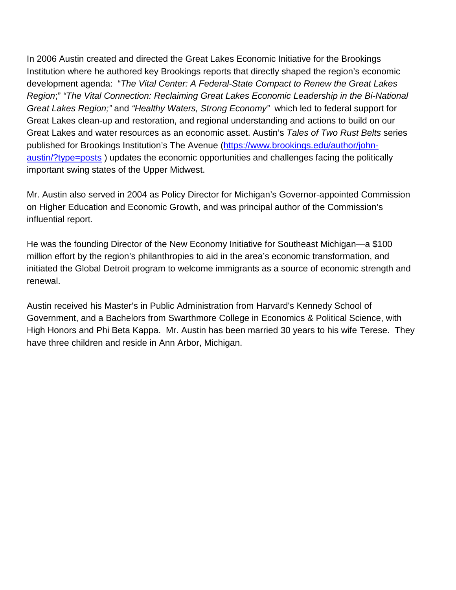In 2006 Austin created and directed the Great Lakes Economic Initiative for the Brookings Institution where he authored key Brookings reports that directly shaped the region's economic development agenda: "*The Vital Center: A Federal-State Compact to Renew the Great Lakes Region*;" *"The Vital Connection: Reclaiming Great Lakes Economic Leadership in the Bi-National Great Lakes Region;"* and *"Healthy Waters, Strong Economy"* which led to federal support for Great Lakes clean-up and restoration, and regional understanding and actions to build on our Great Lakes and water resources as an economic asset. Austin's *Tales of Two Rust Belts* series published for Brookings Institution's The Avenue [\(https://www.brookings.edu/author/john](https://www.brookings.edu/author/john-austin/?type=posts)[austin/?type=posts](https://www.brookings.edu/author/john-austin/?type=posts) ) updates the economic opportunities and challenges facing the politically important swing states of the Upper Midwest.

Mr. Austin also served in 2004 as Policy Director for Michigan's Governor-appointed Commission on Higher Education and Economic Growth, and was principal author of the Commission's influential report.

He was the founding Director of the New Economy Initiative for Southeast Michigan—a \$100 million effort by the region's philanthropies to aid in the area's economic transformation, and initiated the Global Detroit program to welcome immigrants as a source of economic strength and renewal.

Austin received his Master's in Public Administration from Harvard's Kennedy School of Government, and a Bachelors from Swarthmore College in Economics & Political Science, with High Honors and Phi Beta Kappa. Mr. Austin has been married 30 years to his wife Terese. They have three children and reside in Ann Arbor, Michigan.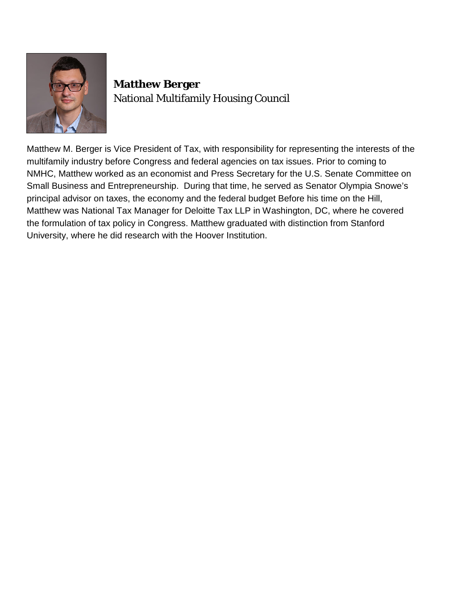

#### **Matthew Berger** National Multifamily Housing Council

Matthew M. Berger is Vice President of Tax, with responsibility for representing the interests of the multifamily industry before Congress and federal agencies on tax issues. Prior to coming to NMHC, Matthew worked as an economist and Press Secretary for the U.S. Senate Committee on Small Business and Entrepreneurship. During that time, he served as Senator Olympia Snowe's principal advisor on taxes, the economy and the federal budget Before his time on the Hill, Matthew was National Tax Manager for Deloitte Tax LLP in Washington, DC, where he covered the formulation of tax policy in Congress. Matthew graduated with distinction from Stanford University, where he did research with the Hoover Institution.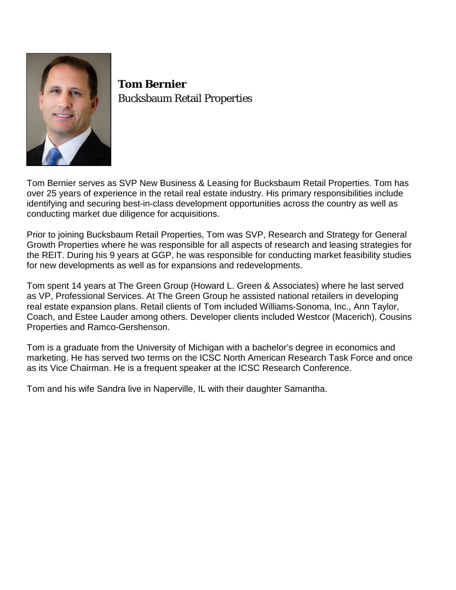

**Tom Bernier**  Bucksbaum Retail Properties

Tom Bernier serves as SVP New Business & Leasing for Bucksbaum Retail Properties. Tom has over 25 years of experience in the retail real estate industry. His primary responsibilities include identifying and securing best-in-class development opportunities across the country as well as conducting market due diligence for acquisitions.

Prior to joining Bucksbaum Retail Properties, Tom was SVP, Research and Strategy for General Growth Properties where he was responsible for all aspects of research and leasing strategies for the REIT. During his 9 years at GGP, he was responsible for conducting market feasibility studies for new developments as well as for expansions and redevelopments.

Tom spent 14 years at The Green Group (Howard L. Green & Associates) where he last served as VP, Professional Services. At The Green Group he assisted national retailers in developing real estate expansion plans. Retail clients of Tom included Williams-Sonoma, Inc., Ann Taylor, Coach, and Estee Lauder among others. Developer clients included Westcor (Macerich), Cousins Properties and Ramco-Gershenson.

Tom is a graduate from the University of Michigan with a bachelor's degree in economics and marketing. He has served two terms on the ICSC North American Research Task Force and once as its Vice Chairman. He is a frequent speaker at the ICSC Research Conference.

Tom and his wife Sandra live in Naperville, IL with their daughter Samantha.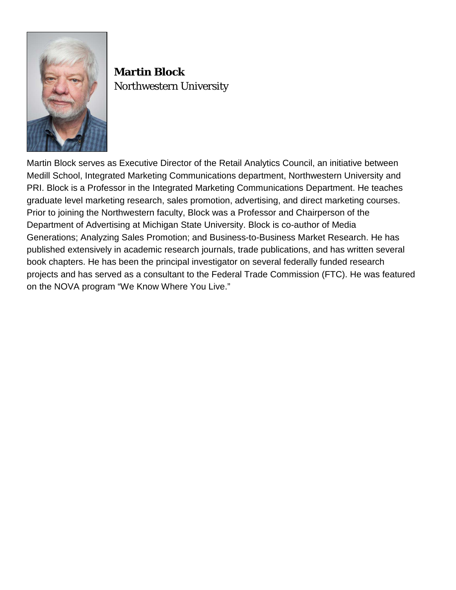

# **Martin Block** Northwestern University

Martin Block serves as Executive Director of the Retail Analytics Council, an initiative between Medill School, Integrated Marketing Communications department, Northwestern University and PRI. Block is a Professor in the Integrated Marketing Communications Department. He teaches graduate level marketing research, sales promotion, advertising, and direct marketing courses. Prior to joining the Northwestern faculty, Block was a Professor and Chairperson of the Department of Advertising at Michigan State University. Block is co-author of Media Generations; Analyzing Sales Promotion; and Business-to-Business Market Research. He has published extensively in academic research journals, trade publications, and has written several book chapters. He has been the principal investigator on several federally funded research projects and has served as a consultant to the Federal Trade Commission (FTC). He was featured on the NOVA program "We Know Where You Live."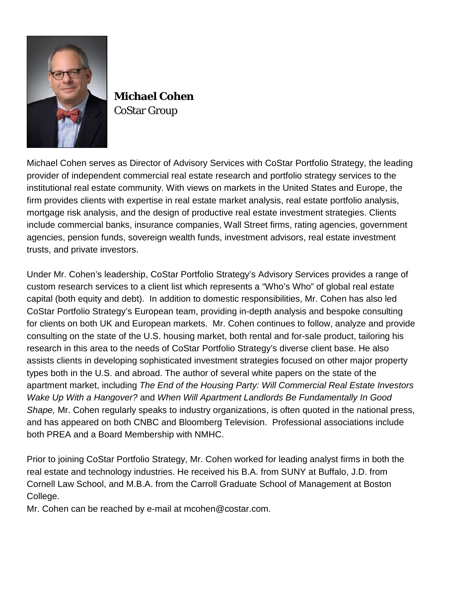

**Michael Cohen** CoStar Group

Michael Cohen serves as Director of Advisory Services with CoStar Portfolio Strategy, the leading provider of independent commercial real estate research and portfolio strategy services to the institutional real estate community. With views on markets in the United States and Europe, the firm provides clients with expertise in real estate market analysis, real estate portfolio analysis, mortgage risk analysis, and the design of productive real estate investment strategies. Clients include commercial banks, insurance companies, Wall Street firms, rating agencies, government agencies, pension funds, sovereign wealth funds, investment advisors, real estate investment trusts, and private investors.

Under Mr. Cohen's leadership, CoStar Portfolio Strategy's Advisory Services provides a range of custom research services to a client list which represents a "Who's Who" of global real estate capital (both equity and debt). In addition to domestic responsibilities, Mr. Cohen has also led CoStar Portfolio Strategy's European team, providing in-depth analysis and bespoke consulting for clients on both UK and European markets. Mr. Cohen continues to follow, analyze and provide consulting on the state of the U.S. housing market, both rental and for-sale product, tailoring his research in this area to the needs of CoStar Portfolio Strategy's diverse client base. He also assists clients in developing sophisticated investment strategies focused on other major property types both in the U.S. and abroad. The author of several white papers on the state of the apartment market, including *The End of the Housing Party: Will Commercial Real Estate Investors Wake Up With a Hangover?* and *When Will Apartment Landlords Be Fundamentally In Good Shape,* Mr. Cohen regularly speaks to industry organizations, is often quoted in the national press, and has appeared on both CNBC and Bloomberg Television. Professional associations include both PREA and a Board Membership with NMHC.

Prior to joining CoStar Portfolio Strategy, Mr. Cohen worked for leading analyst firms in both the real estate and technology industries. He received his B.A. from SUNY at Buffalo, J.D. from Cornell Law School, and M.B.A. from the Carroll Graduate School of Management at Boston College.

Mr. Cohen can be reached by e-mail at mcohen@costar.com.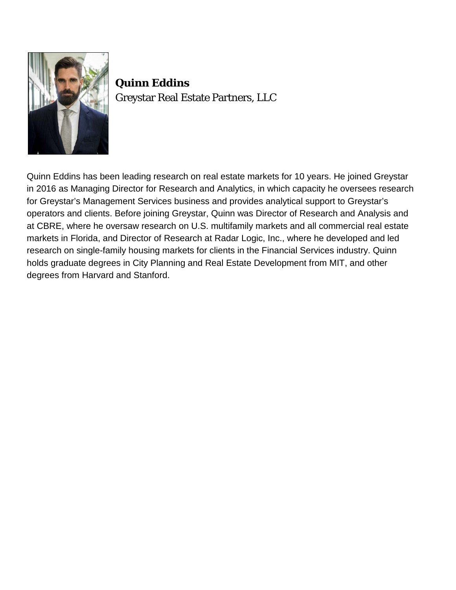

**Quinn Eddins** Greystar Real Estate Partners, LLC

Quinn Eddins has been leading research on real estate markets for 10 years. He joined Greystar in 2016 as Managing Director for Research and Analytics, in which capacity he oversees research for Greystar's Management Services business and provides analytical support to Greystar's operators and clients. Before joining Greystar, Quinn was Director of Research and Analysis and at CBRE, where he oversaw research on U.S. multifamily markets and all commercial real estate markets in Florida, and Director of Research at Radar Logic, Inc., where he developed and led research on single-family housing markets for clients in the Financial Services industry. Quinn holds graduate degrees in City Planning and Real Estate Development from MIT, and other degrees from Harvard and Stanford.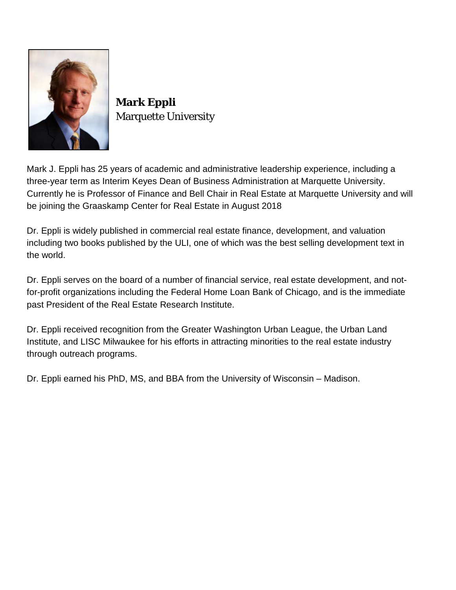

**Mark Eppli** Marquette University

Mark J. Eppli has 25 years of academic and administrative leadership experience, including a three-year term as Interim Keyes Dean of Business Administration at Marquette University. Currently he is Professor of Finance and Bell Chair in Real Estate at Marquette University and will be joining the Graaskamp Center for Real Estate in August 2018

Dr. Eppli is widely published in commercial real estate finance, development, and valuation including two books published by the ULI, one of which was the best selling development text in the world.

Dr. Eppli serves on the board of a number of financial service, real estate development, and notfor-profit organizations including the Federal Home Loan Bank of Chicago, and is the immediate past President of the Real Estate Research Institute.

Dr. Eppli received recognition from the Greater Washington Urban League, the Urban Land Institute, and LISC Milwaukee for his efforts in attracting minorities to the real estate industry through outreach programs.

Dr. Eppli earned his PhD, MS, and BBA from the University of Wisconsin – Madison.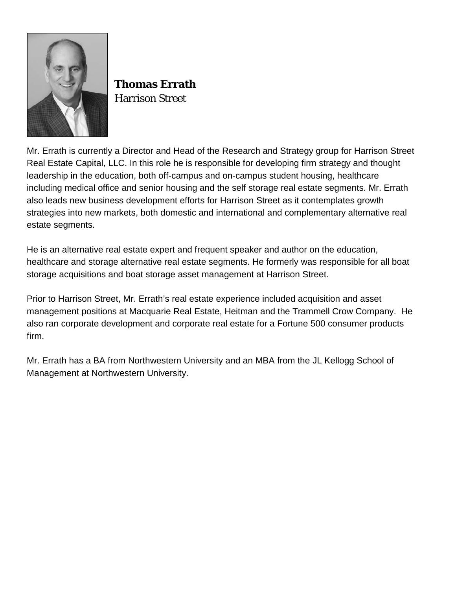

**Thomas Errath** Harrison Street

Mr. Errath is currently a Director and Head of the Research and Strategy group for Harrison Street Real Estate Capital, LLC. In this role he is responsible for developing firm strategy and thought leadership in the education, both off-campus and on-campus student housing, healthcare including medical office and senior housing and the self storage real estate segments. Mr. Errath also leads new business development efforts for Harrison Street as it contemplates growth strategies into new markets, both domestic and international and complementary alternative real estate segments.

He is an alternative real estate expert and frequent speaker and author on the education, healthcare and storage alternative real estate segments. He formerly was responsible for all boat storage acquisitions and boat storage asset management at Harrison Street.

Prior to Harrison Street, Mr. Errath's real estate experience included acquisition and asset management positions at Macquarie Real Estate, Heitman and the Trammell Crow Company. He also ran corporate development and corporate real estate for a Fortune 500 consumer products firm.

Mr. Errath has a BA from Northwestern University and an MBA from the JL Kellogg School of Management at Northwestern University.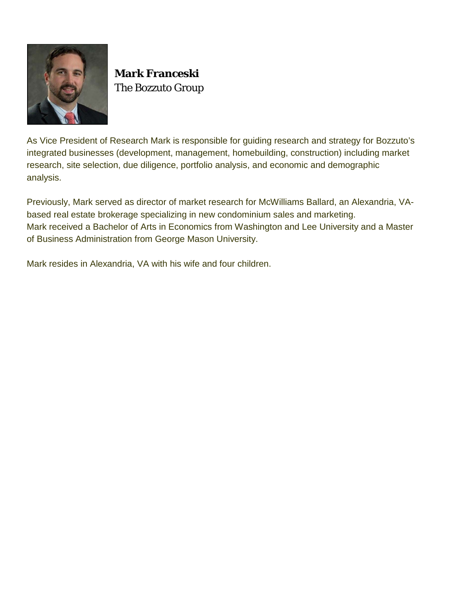

**Mark Franceski**  The Bozzuto Group

As Vice President of Research Mark is responsible for guiding research and strategy for Bozzuto's integrated businesses (development, management, homebuilding, construction) including market research, site selection, due diligence, portfolio analysis, and economic and demographic analysis.

Previously, Mark served as director of market research for McWilliams Ballard, an Alexandria, VAbased real estate brokerage specializing in new condominium sales and marketing. Mark received a Bachelor of Arts in Economics from Washington and Lee University and a Master of Business Administration from George Mason University.

Mark resides in Alexandria, VA with his wife and four children.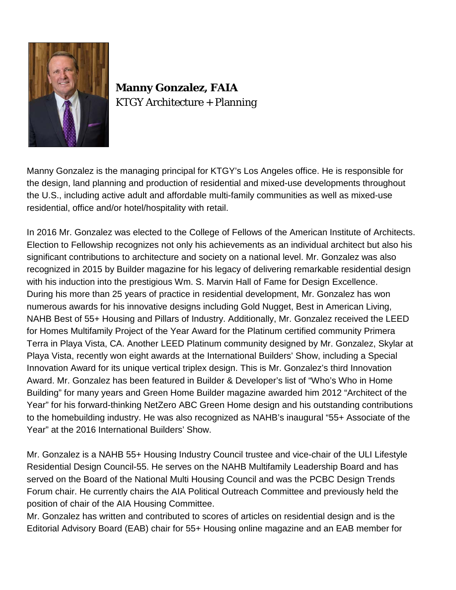

### **Manny Gonzalez, FAIA** KTGY Architecture + Planning

Manny Gonzalez is the managing principal for KTGY's Los Angeles office. He is responsible for the design, land planning and production of residential and mixed-use developments throughout the U.S., including active adult and affordable multi-family communities as well as mixed-use residential, office and/or hotel/hospitality with retail.

In 2016 Mr. Gonzalez was elected to the College of Fellows of the American Institute of Architects. Election to Fellowship recognizes not only his achievements as an individual architect but also his significant contributions to architecture and society on a national level. Mr. Gonzalez was also recognized in 2015 by Builder magazine for his legacy of delivering remarkable residential design with his induction into the prestigious Wm. S. Marvin Hall of Fame for Design Excellence. During his more than 25 years of practice in residential development, Mr. Gonzalez has won numerous awards for his innovative designs including Gold Nugget, Best in American Living, NAHB Best of 55+ Housing and Pillars of Industry. Additionally, Mr. Gonzalez received the LEED for Homes Multifamily Project of the Year Award for the Platinum certified community Primera Terra in Playa Vista, CA. Another LEED Platinum community designed by Mr. Gonzalez, Skylar at Playa Vista, recently won eight awards at the International Builders' Show, including a Special Innovation Award for its unique vertical triplex design. This is Mr. Gonzalez's third Innovation Award. Mr. Gonzalez has been featured in Builder & Developer's list of "Who's Who in Home Building" for many years and Green Home Builder magazine awarded him 2012 "Architect of the Year" for his forward-thinking NetZero ABC Green Home design and his outstanding contributions to the homebuilding industry. He was also recognized as NAHB's inaugural "55+ Associate of the Year" at the 2016 International Builders' Show.

Mr. Gonzalez is a NAHB 55+ Housing Industry Council trustee and vice-chair of the ULI Lifestyle Residential Design Council-55. He serves on the NAHB Multifamily Leadership Board and has served on the Board of the National Multi Housing Council and was the PCBC Design Trends Forum chair. He currently chairs the AIA Political Outreach Committee and previously held the position of chair of the AIA Housing Committee.

Mr. Gonzalez has written and contributed to scores of articles on residential design and is the Editorial Advisory Board (EAB) chair for 55+ Housing online magazine and an EAB member for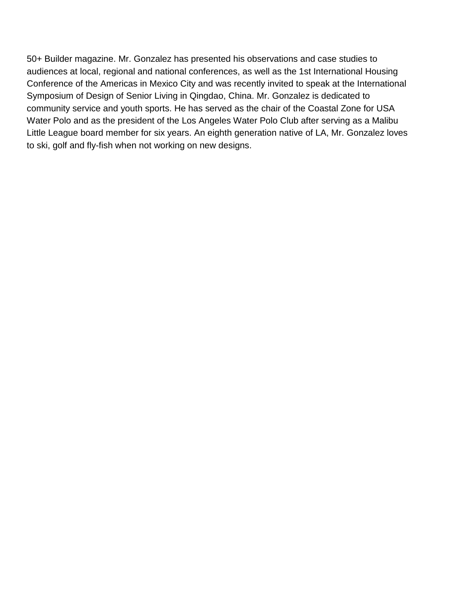50+ Builder magazine. Mr. Gonzalez has presented his observations and case studies to audiences at local, regional and national conferences, as well as the 1st International Housing Conference of the Americas in Mexico City and was recently invited to speak at the International Symposium of Design of Senior Living in Qingdao, China. Mr. Gonzalez is dedicated to community service and youth sports. He has served as the chair of the Coastal Zone for USA Water Polo and as the president of the Los Angeles Water Polo Club after serving as a Malibu Little League board member for six years. An eighth generation native of LA, Mr. Gonzalez loves to ski, golf and fly-fish when not working on new designs.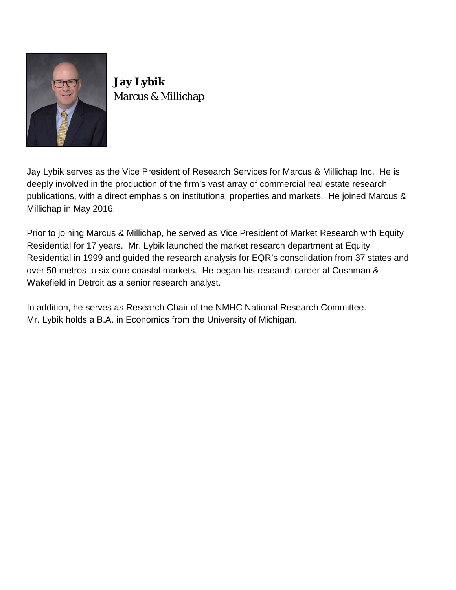

**Jay Lybik** Marcus & Millichap

Jay Lybik serves as the Vice President of Research Services for Marcus & Millichap Inc. He is deeply involved in the production of the firm's vast array of commercial real estate research publications, with a direct emphasis on institutional properties and markets. He joined Marcus & Millichap in May 2016.

Prior to joining Marcus & Millichap, he served as Vice President of Market Research with Equity Residential for 17 years. Mr. Lybik launched the market research department at Equity Residential in 1999 and guided the research analysis for EQR's consolidation from 37 states and over 50 metros to six core coastal markets. He began his research career at Cushman & Wakefield in Detroit as a senior research analyst.

In addition, he serves as Research Chair of the NMHC National Research Committee. Mr. Lybik holds a B.A. in Economics from the University of Michigan.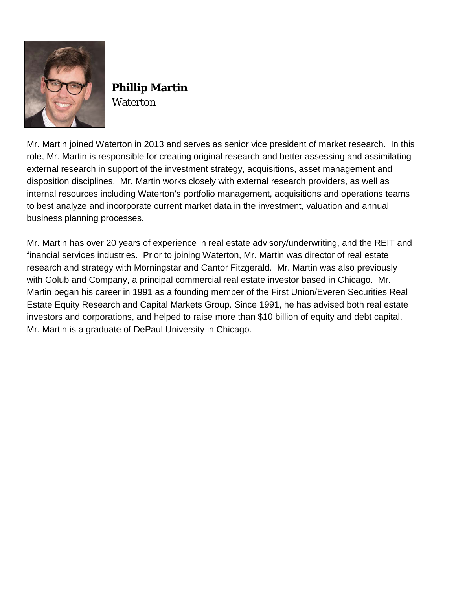

## **Phillip Martin Waterton**

Mr. Martin joined Waterton in 2013 and serves as senior vice president of market research. In this role, Mr. Martin is responsible for creating original research and better assessing and assimilating external research in support of the investment strategy, acquisitions, asset management and disposition disciplines. Mr. Martin works closely with external research providers, as well as internal resources including Waterton's portfolio management, acquisitions and operations teams to best analyze and incorporate current market data in the investment, valuation and annual business planning processes.

Mr. Martin has over 20 years of experience in real estate advisory/underwriting, and the REIT and financial services industries. Prior to joining Waterton, Mr. Martin was director of real estate research and strategy with Morningstar and Cantor Fitzgerald. Mr. Martin was also previously with Golub and Company, a principal commercial real estate investor based in Chicago. Mr. Martin began his career in 1991 as a founding member of the First Union/Everen Securities Real Estate Equity Research and Capital Markets Group. Since 1991, he has advised both real estate investors and corporations, and helped to raise more than \$10 billion of equity and debt capital. Mr. Martin is a graduate of DePaul University in Chicago.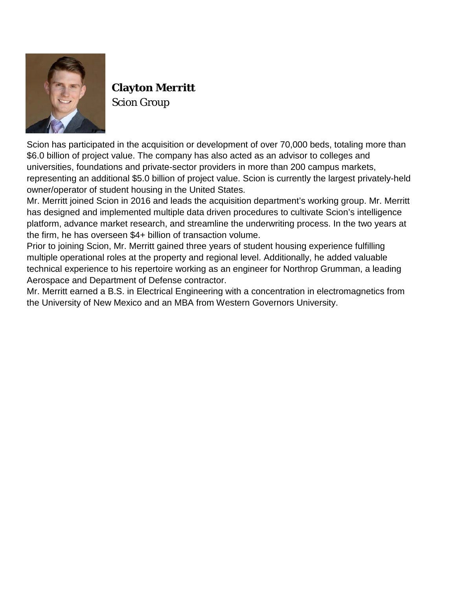

## **Clayton Merritt** Scion Group

Scion has participated in the acquisition or development of over 70,000 beds, totaling more than \$6.0 billion of project value. The company has also acted as an advisor to colleges and universities, foundations and private-sector providers in more than 200 campus markets, representing an additional \$5.0 billion of project value. Scion is currently the largest privately-held owner/operator of student housing in the United States.

Mr. Merritt joined Scion in 2016 and leads the acquisition department's working group. Mr. Merritt has designed and implemented multiple data driven procedures to cultivate Scion's intelligence platform, advance market research, and streamline the underwriting process. In the two years at the firm, he has overseen \$4+ billion of transaction volume.

Prior to joining Scion, Mr. Merritt gained three years of student housing experience fulfilling multiple operational roles at the property and regional level. Additionally, he added valuable technical experience to his repertoire working as an engineer for Northrop Grumman, a leading Aerospace and Department of Defense contractor.

Mr. Merritt earned a B.S. in Electrical Engineering with a concentration in electromagnetics from the University of New Mexico and an MBA from Western Governors University.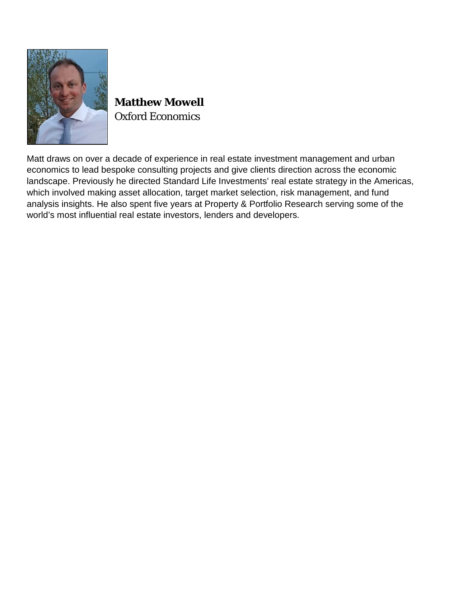

**Matthew Mowell** Oxford Economics

Matt draws on over a decade of experience in real estate investment management and urban economics to lead bespoke consulting projects and give clients direction across the economic landscape. Previously he directed Standard Life Investments' real estate strategy in the Americas, which involved making asset allocation, target market selection, risk management, and fund analysis insights. He also spent five years at Property & Portfolio Research serving some of the world's most influential real estate investors, lenders and developers.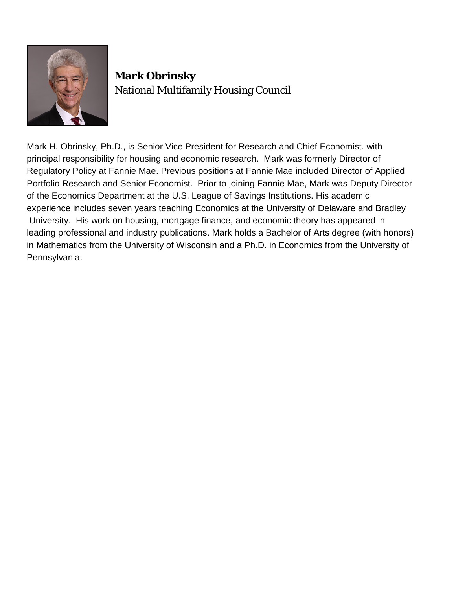

### **Mark Obrinsky**  National Multifamily Housing Council

Mark H. Obrinsky, Ph.D., is Senior Vice President for Research and Chief Economist. with principal responsibility for housing and economic research. Mark was formerly Director of Regulatory Policy at Fannie Mae. Previous positions at Fannie Mae included Director of Applied Portfolio Research and Senior Economist. Prior to joining Fannie Mae, Mark was Deputy Director of the Economics Department at the U.S. League of Savings Institutions. His academic experience includes seven years teaching Economics at the University of Delaware and Bradley University. His work on housing, mortgage finance, and economic theory has appeared in leading professional and industry publications. Mark holds a Bachelor of Arts degree (with honors) in Mathematics from the University of Wisconsin and a Ph.D. in Economics from the University of Pennsylvania.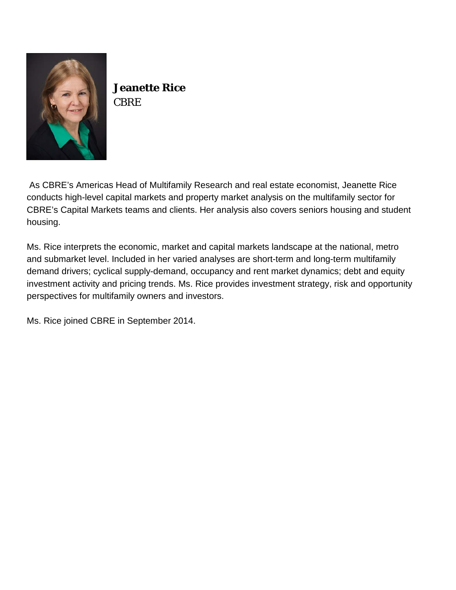

**Jeanette Rice CBRE** 

As CBRE's Americas Head of Multifamily Research and real estate economist, Jeanette Rice conducts high-level capital markets and property market analysis on the multifamily sector for CBRE's Capital Markets teams and clients. Her analysis also covers seniors housing and student housing.

Ms. Rice interprets the economic, market and capital markets landscape at the national, metro and submarket level. Included in her varied analyses are short-term and long-term multifamily demand drivers; cyclical supply-demand, occupancy and rent market dynamics; debt and equity investment activity and pricing trends. Ms. Rice provides investment strategy, risk and opportunity perspectives for multifamily owners and investors.

Ms. Rice joined CBRE in September 2014.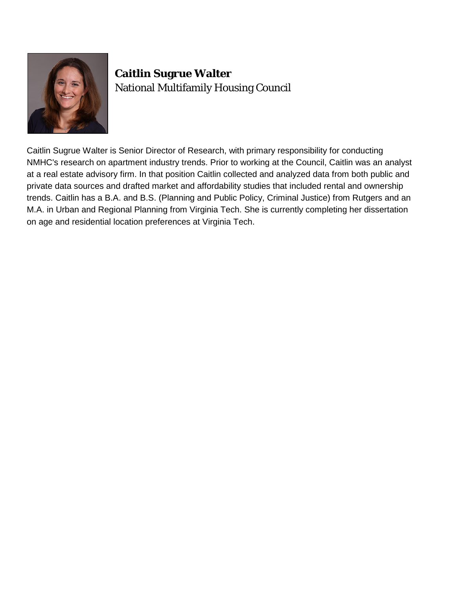

## **Caitlin Sugrue Walter** National Multifamily Housing Council

Caitlin Sugrue Walter is Senior Director of Research, with primary responsibility for conducting NMHC's research on apartment industry trends. Prior to working at the Council, Caitlin was an analyst at a real estate advisory firm. In that position Caitlin collected and analyzed data from both public and private data sources and drafted market and affordability studies that included rental and ownership trends. Caitlin has a B.A. and B.S. (Planning and Public Policy, Criminal Justice) from Rutgers and an M.A. in Urban and Regional Planning from Virginia Tech. She is currently completing her dissertation on age and residential location preferences at Virginia Tech.